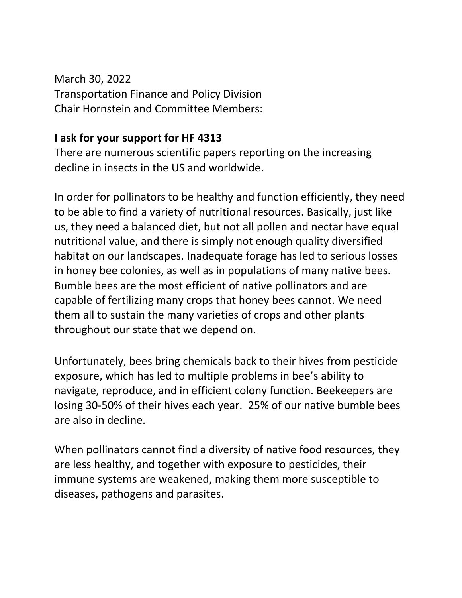March 30, 2022 Transportation Finance and Policy Division Chair Hornstein and Committee Members:

## **I ask for your support for HF 4313**

There are numerous scientific papers reporting on the increasing decline in insects in the US and worldwide.

In order for pollinators to be healthy and function efficiently, they need to be able to find a variety of nutritional resources. Basically, just like us, they need a balanced diet, but not all pollen and nectar have equal nutritional value, and there is simply not enough quality diversified habitat on our landscapes. Inadequate forage has led to serious losses in honey bee colonies, as well as in populations of many native bees. Bumble bees are the most efficient of native pollinators and are capable of fertilizing many crops that honey bees cannot. We need them all to sustain the many varieties of crops and other plants throughout our state that we depend on.

Unfortunately, bees bring chemicals back to their hives from pesticide exposure, which has led to multiple problems in bee's ability to navigate, reproduce, and in efficient colony function. Beekeepers are losing 30-50% of their hives each year. 25% of our native bumble bees are also in decline.

When pollinators cannot find a diversity of native food resources, they are less healthy, and together with exposure to pesticides, their immune systems are weakened, making them more susceptible to diseases, pathogens and parasites.